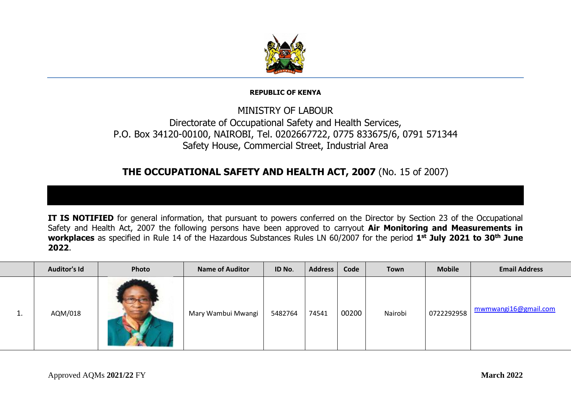

## **REPUBLIC OF KENYA**

## MINISTRY OF LABOUR Directorate of Occupational Safety and Health Services, P.O. Box 34120-00100, NAIROBI, Tel. 0202667722, 0775 833675/6, 0791 571344 Safety House, Commercial Street, Industrial Area

## **THE OCCUPATIONAL SAFETY AND HEALTH ACT, 2007** (No. 15 of 2007)

**IT IS NOTIFIED** for general information, that pursuant to powers conferred on the Director by Section 23 of the Occupational Safety and Health Act, 2007 the following persons have been approved to carryout **Air Monitoring and Measurements in workplaces** as specified in Rule 14 of the Hazardous Substances Rules LN 60/2007 for the period **1 st July 2021 to 30th June 2022**.

|          | <b>Auditor's Id</b> | Photo | <b>Name of Auditor</b> | ID No.  | <b>Address</b> | Code  | Town    | <b>Mobile</b> | <b>Email Address</b> |
|----------|---------------------|-------|------------------------|---------|----------------|-------|---------|---------------|----------------------|
| <b>.</b> | AQM/018             |       | Mary Wambui Mwangi     | 5482764 | 74541          | 00200 | Nairobi | 0722292958    | mwmwangi16@gmail.com |

ι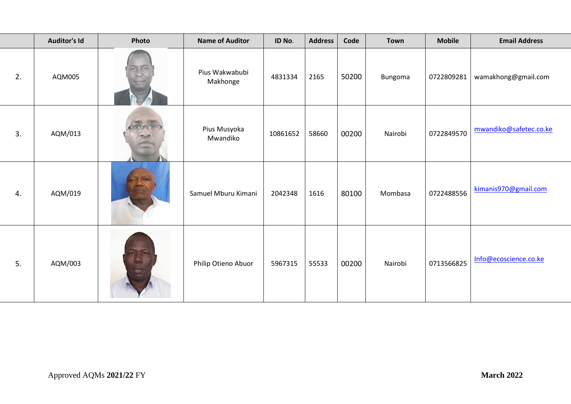|    | <b>Auditor's Id</b> | Photo        | <b>Name of Auditor</b>     | ID No.   | <b>Address</b> | Code  | <b>Town</b> | <b>Mobile</b> | <b>Email Address</b>   |
|----|---------------------|--------------|----------------------------|----------|----------------|-------|-------------|---------------|------------------------|
| 2. | AQM005              | $\sigma$ (or | Pius Wakwabubi<br>Makhonge | 4831334  | 2165           | 50200 | Bungoma     | 0722809281    | wamakhong@gmail.com    |
| 3. | AQM/013             |              | Pius Musyoka<br>Mwandiko   | 10861652 | 58660          | 00200 | Nairobi     | 0722849570    | mwandiko@safetec.co.ke |
| 4. | AQM/019             |              | Samuel Mburu Kimani        | 2042348  | 1616           | 80100 | Mombasa     | 0722488556    | kimanis970@gmail.com   |
| 5. | AQM/003             |              | Philip Otieno Abuor        | 5967315  | 55533          | 00200 | Nairobi     | 0713566825    | Info@ecoscience.co.ke  |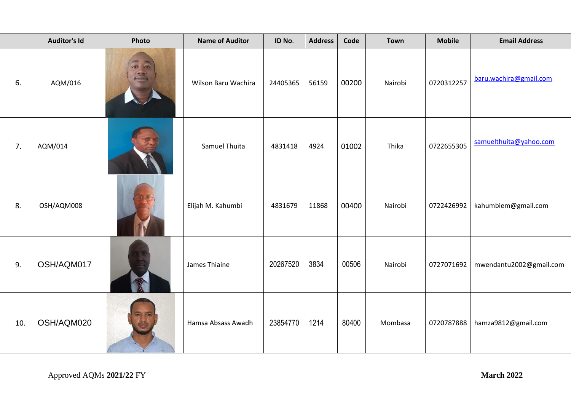|     | <b>Auditor's Id</b> | Photo | <b>Name of Auditor</b> | ID No.   | <b>Address</b> | Code  | <b>Town</b> | <b>Mobile</b> | <b>Email Address</b>    |
|-----|---------------------|-------|------------------------|----------|----------------|-------|-------------|---------------|-------------------------|
| 6.  | AQM/016             |       | Wilson Baru Wachira    | 24405365 | 56159          | 00200 | Nairobi     | 0720312257    | baru.wachira@gmail.com  |
| 7.  | AQM/014             |       | Samuel Thuita          | 4831418  | 4924           | 01002 | Thika       | 0722655305    | samuelthuita@yahoo.com  |
| 8.  | OSH/AQM008          |       | Elijah M. Kahumbi      | 4831679  | 11868          | 00400 | Nairobi     | 0722426992    | kahumbiem@gmail.com     |
| 9.  | OSH/AQM017          |       | James Thiaine          | 20267520 | 3834           | 00506 | Nairobi     | 0727071692    | mwendantu2002@gmail.com |
| 10. | OSH/AQM020          |       | Hamsa Absass Awadh     | 23854770 | 1214           | 80400 | Mombasa     | 0720787888    | hamza9812@gmail.com     |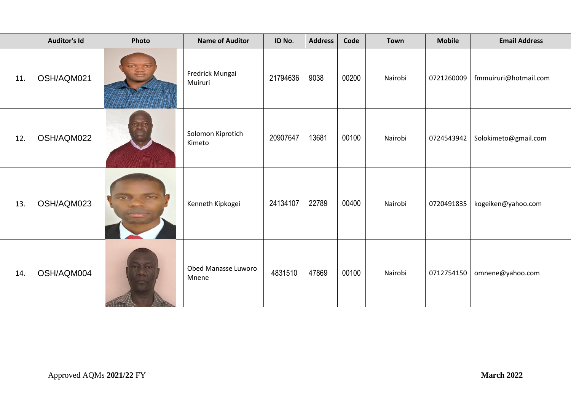|     | <b>Auditor's Id</b> | Photo      | <b>Name of Auditor</b>       | ID No.   | <b>Address</b> | Code  | <b>Town</b> | <b>Mobile</b> | <b>Email Address</b>  |
|-----|---------------------|------------|------------------------------|----------|----------------|-------|-------------|---------------|-----------------------|
| 11. | OSH/AQM021          |            | Fredrick Mungai<br>Muiruri   | 21794636 | 9038           | 00200 | Nairobi     | 0721260009    | fmmuiruri@hotmail.com |
| 12. | OSH/AQM022          |            | Solomon Kiprotich<br>Kimeto  | 20907647 | 13681          | 00100 | Nairobi     | 0724543942    | Solokimeto@gmail.com  |
| 13. | OSH/AQM023          |            | Kenneth Kipkogei             | 24134107 | 22789          | 00400 | Nairobi     | 0720491835    | kogeiken@yahoo.com    |
| 14. | OSH/AQM004          | Y.<br>ا سا | Obed Manasse Luworo<br>Mnene | 4831510  | 47869          | 00100 | Nairobi     | 0712754150    | omnene@yahoo.com      |